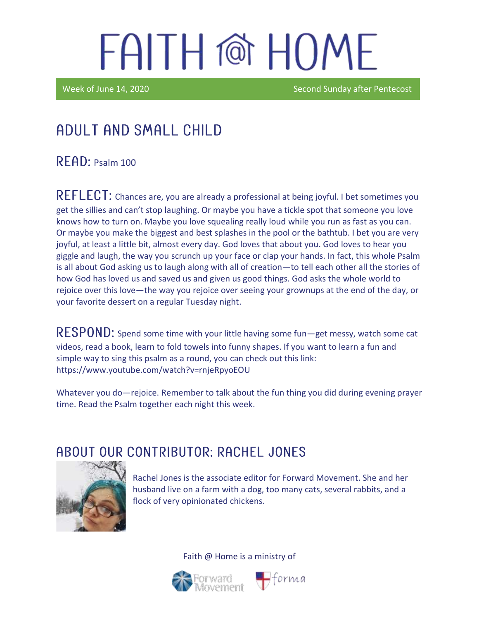Week of June 14, 2020 **Second Sunday after Pentecost** Second Sunday after Pentecost

## Adult and Small Child

 $R$  $F$  $AD:$  Psalm 100

REFLECT: Chances are, you are already a professional at being joyful. I bet sometimes you get the sillies and can't stop laughing. Or maybe you have a tickle spot that someone you love knows how to turn on. Maybe you love squealing really loud while you run as fast as you can. Or maybe you make the biggest and best splashes in the pool or the bathtub. I bet you are very joyful, at least a little bit, almost every day. God loves that about you. God loves to hear you giggle and laugh, the way you scrunch up your face or clap your hands. In fact, this whole Psalm is all about God asking us to laugh along with all of creation—to tell each other all the stories of how God has loved us and saved us and given us good things. God asks the whole world to rejoice over this love—the way you rejoice over seeing your grownups at the end of the day, or your favorite dessert on a regular Tuesday night.

RESPOND: Spend some time with your little having some fun—get messy, watch some cat videos, read a book, learn to fold towels into funny shapes. If you want to learn a fun and simple way to sing this psalm as a round, you can check out this link: <https://www.youtube.com/watch?v=rnjeRpyoEOU>

Whatever you do—rejoice. Remember to talk about the fun thing you did during evening prayer time. Read the Psalm together each night this week.

### ABOUT OUR CONTRIBUTOR: RACHEL JONES



Rachel Jones is the associate editor for Forward Movement. She and her husband live on a farm with a dog, too many cats, several rabbits, and a flock of very opinionated chickens.



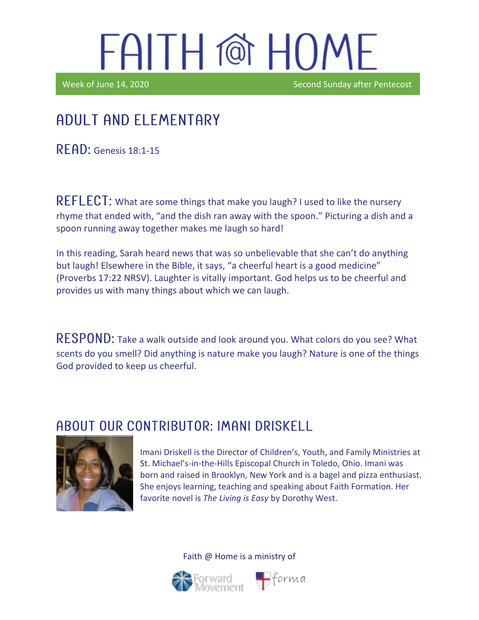Ϊ

Week of June 14, 2020

### Adult and elementary

**READ:** Genesis 18:1-15

REFLECT: What are some things that make you laugh? I used to like the nursery rhyme that ended with, "and the dish ran away with the spoon." Picturing a dish and a spoon running away together makes me laugh so hard!

In this reading, Sarah heard news that was so unbelievable that she can't do anything but laugh! Elsewhere in the Bible, it says, "a cheerful heart is a good medicine" (Proverbs 17:22 NRSV). Laughter is vitally important. God helps us to be cheerful and provides us with many things about which we can laugh.

RESPOND: Take a walk outside and look around you. What colors do you see? What scents do you smell? Did anything is nature make you laugh? Nature is one of the things God provided to keep us cheerful.

#### ABOUT OUR CONTRIBUTOR: IMANI DRISKELL



Imani Driskell is the Director of Children's, Youth, and Family Ministries at St. Michael's-in-the-Hills Episcopal Church in Toledo, Ohio. Imani was born and raised in Brooklyn, New York and is a bagel and pizza enthusiast. She enjoys learning, teaching and speaking about Faith Formation. Her favorite novel is *The Living is Easy* by Dorothy West.



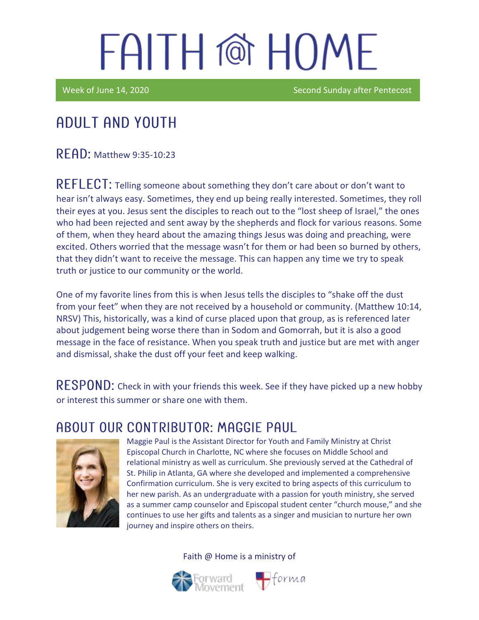Week of June 14, 2020 Second Sunday after Pentecost

## Adult and youth

READ: Matthew 9:35-10:23

REFLECT: Telling someone about something they don't care about or don't want to hear isn't always easy. Sometimes, they end up being really interested. Sometimes, they roll their eyes at you. Jesus sent the disciples to reach out to the "lost sheep of Israel," the ones who had been rejected and sent away by the shepherds and flock for various reasons. Some of them, when they heard about the amazing things Jesus was doing and preaching, were excited. Others worried that the message wasn't for them or had been so burned by others, that they didn't want to receive the message. This can happen any time we try to speak truth or justice to our community or the world.

One of my favorite lines from this is when Jesus tells the disciples to "shake off the dust from your feet" when they are not received by a household or community. (Matthew 10:14, NRSV) This, historically, was a kind of curse placed upon that group, as is referenced later about judgement being worse there than in Sodom and Gomorrah, but it is also a good message in the face of resistance. When you speak truth and justice but are met with anger and dismissal, shake the dust off your feet and keep walking.

RESPOND: Check in with your friends this week. See if they have picked up a new hobby or interest this summer or share one with them.

#### ABOUT OUR CONTRIBUTOR: MAGGIE PAUL



Maggie Paul is the Assistant Director for Youth and Family Ministry at Christ Episcopal Church in Charlotte, NC where she focuses on Middle School and relational ministry as well as curriculum. She previously served at the Cathedral of St. Philip in Atlanta, GA where she developed and implemented a comprehensive Confirmation curriculum. She is very excited to bring aspects of this curriculum to her new parish. As an undergraduate with a passion for youth ministry, she served as a summer camp counselor and Episcopal student center "church mouse," and she continues to use her gifts and talents as a singer and musician to nurture her own journey and inspire others on theirs.